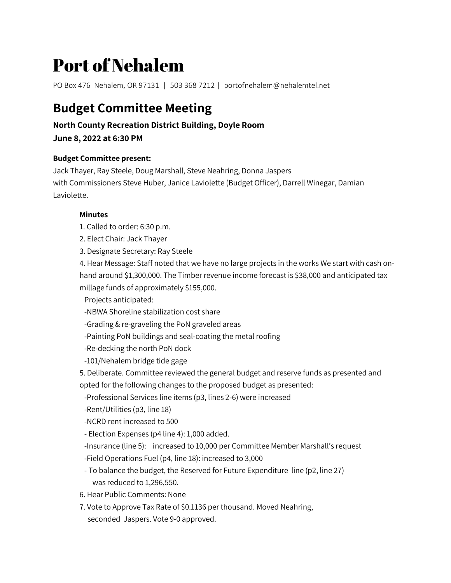# Port of Nehalem

PO Box 476 Nehalem, OR 97131 | 503 368 7212 | portofnehalem@nehalemtel.net

# **Budget Committee Meeting**

## **North County Recreation District Building, Doyle Room**

**June 8, 2022 at 6:30 PM**

#### **Budget Committee present:**

Jack Thayer, Ray Steele, Doug Marshall, Steve Neahring, Donna Jaspers with Commissioners Steve Huber, Janice Laviolette (Budget Officer), Darrell Winegar, Damian Laviolette.

### **Minutes**

- 1. Called to order: 6:30 p.m.
- 2. Elect Chair: Jack Thayer
- 3. Designate Secretary: Ray Steele

4. Hear Message: Staff noted that we have no large projects in the works We start with cash onhand around \$1,300,000. The Timber revenue income forecast is \$38,000 and anticipated tax millage funds of approximately \$155,000.

Projects anticipated:

- -NBWA Shoreline stabilization cost share
- -Grading & re-graveling the PoN graveled areas
- -Painting PoN buildings and seal-coating the metal roofing
- -Re-decking the north PoN dock
- -101/Nehalem bridge tide gage
- 5. Deliberate. Committee reviewed the general budget and reserve funds as presented and opted for the following changes to the proposed budget as presented:
- -Professional Services line items (p3, lines 2-6) were increased
- -Rent/Utilities (p3, line 18)
- -NCRD rent increased to 500
- Election Expenses (p4 line 4): 1,000 added.
- -Insurance (line 5): increased to 10,000 per Committee Member Marshall's request
- -Field Operations Fuel (p4, line 18): increased to 3,000
- To balance the budget, the Reserved for Future Expenditure line (p2, line 27) was reduced to 1,296,550.
- 6. Hear Public Comments: None
- 7. Vote to Approve Tax Rate of \$0.1136 per thousand. Moved Neahring, seconded Jaspers. Vote 9-0 approved.